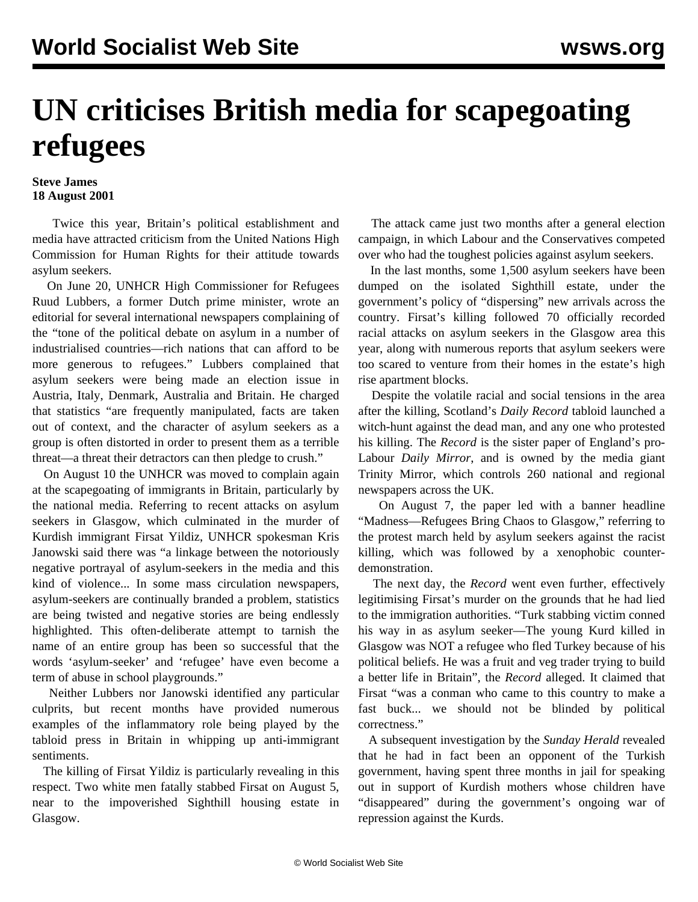## **UN criticises British media for scapegoating refugees**

## **Steve James 18 August 2001**

 Twice this year, Britain's political establishment and media have attracted criticism from the United Nations High Commission for Human Rights for their attitude towards asylum seekers.

 On June 20, UNHCR High Commissioner for Refugees Ruud Lubbers, a former Dutch prime minister, wrote an editorial for several international newspapers complaining of the "tone of the political debate on asylum in a number of industrialised countries—rich nations that can afford to be more generous to refugees." Lubbers complained that asylum seekers were being made an election issue in Austria, Italy, Denmark, Australia and Britain. He charged that statistics "are frequently manipulated, facts are taken out of context, and the character of asylum seekers as a group is often distorted in order to present them as a terrible threat—a threat their detractors can then pledge to crush."

 On August 10 the UNHCR was moved to complain again at the scapegoating of immigrants in Britain, particularly by the national media. Referring to recent attacks on asylum seekers in Glasgow, which culminated in the murder of Kurdish immigrant Firsat Yildiz, UNHCR spokesman Kris Janowski said there was "a linkage between the notoriously negative portrayal of asylum-seekers in the media and this kind of violence... In some mass circulation newspapers, asylum-seekers are continually branded a problem, statistics are being twisted and negative stories are being endlessly highlighted. This often-deliberate attempt to tarnish the name of an entire group has been so successful that the words 'asylum-seeker' and 'refugee' have even become a term of abuse in school playgrounds."

 Neither Lubbers nor Janowski identified any particular culprits, but recent months have provided numerous examples of the inflammatory role being played by the tabloid press in Britain in whipping up anti-immigrant sentiments.

 The killing of Firsat Yildiz is particularly revealing in this respect. Two white men fatally stabbed Firsat on August 5, near to the impoverished Sighthill housing estate in Glasgow.

 The attack came just two months after a general election campaign, in which Labour and the Conservatives competed over who had the toughest policies against asylum seekers.

 In the last months, some 1,500 asylum seekers have been dumped on the isolated Sighthill estate, under the government's policy of "dispersing" new arrivals across the country. Firsat's killing followed 70 officially recorded racial attacks on asylum seekers in the Glasgow area this year, along with numerous reports that asylum seekers were too scared to venture from their homes in the estate's high rise apartment blocks.

 Despite the volatile racial and social tensions in the area after the killing, Scotland's *Daily Record* tabloid launched a witch-hunt against the dead man, and any one who protested his killing. The *Record* is the sister paper of England's pro-Labour *Daily Mirror*, and is owned by the media giant Trinity Mirror, which controls 260 national and regional newspapers across the UK.

 On August 7, the paper led with a banner headline "Madness—Refugees Bring Chaos to Glasgow," referring to the protest march held by asylum seekers against the racist killing, which was followed by a xenophobic counterdemonstration.

 The next day, the *Record* went even further, effectively legitimising Firsat's murder on the grounds that he had lied to the immigration authorities. "Turk stabbing victim conned his way in as asylum seeker—The young Kurd killed in Glasgow was NOT a refugee who fled Turkey because of his political beliefs. He was a fruit and veg trader trying to build a better life in Britain", the *Record* alleged. It claimed that Firsat "was a conman who came to this country to make a fast buck... we should not be blinded by political correctness."

 A subsequent investigation by the *Sunday Herald* revealed that he had in fact been an opponent of the Turkish government, having spent three months in jail for speaking out in support of Kurdish mothers whose children have "disappeared" during the government's ongoing war of repression against the Kurds.